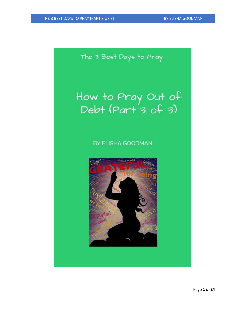The 3 Best Days to Pray

# How to Pray Out of<br>Debt (Part 3 of 3)

# BY ELISHA GOODMAN

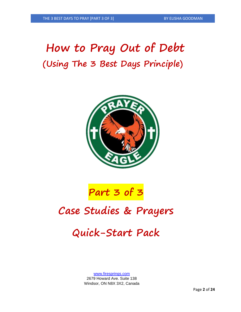# **How to Pray Out of Debt (Using The 3 Best Days Principle)**





# **Case Studies & Prayers**

# **Quick-Start Pack**

[www.firesprings.com](http://www.firesprings.com/) 2679 Howard Ave. Suite 138 Windsor, ON N8X 3X2, Canada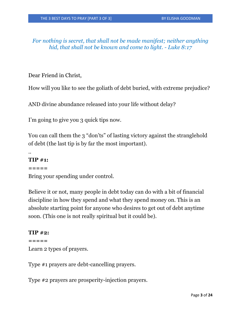*For nothing is secret, that shall not be made manifest; neither anything hid, that shall not be known and come to light. - Luke 8:17*

Dear Friend in Christ,

How will you like to see the goliath of debt buried, with extreme prejudice?

AND divine abundance released into your life without delay?

I'm going to give you 3 quick tips now.

You can call them the 3 "don'ts" of lasting victory against the stranglehold of debt (the last tip is by far the most important).

# **TIP #1:**

..

#### **=====**

Bring your spending under control.

Believe it or not, many people in debt today can do with a bit of financial discipline in how they spend and what they spend money on. This is an absolute starting point for anyone who desires to get out of debt anytime soon. (This one is not really spiritual but it could be).

#### **TIP #2:**

```
=====
```
Learn 2 types of prayers.

Type #1 prayers are debt-cancelling prayers.

Type #2 prayers are prosperity-injection prayers.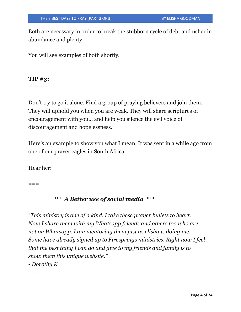Both are necessary in order to break the stubborn cycle of debt and usher in abundance and plenty.

You will see examples of both shortly.

# **TIP #3:**

**=====**

Don't try to go it alone. Find a group of praying believers and join them. They will uphold you when you are weak. They will share scriptures of encouragement with you… and help you silence the evil voice of discouragement and hopelessness.

Here's an example to show you what I mean. It was sent in a while ago from one of our prayer eagles in South Africa.

Hear her:

 $===$ 

#### *\*\*\* A Better use of social media \*\*\**

*"This ministry is one of a kind. I take these prayer bullets to heart. Now I share them with my Whatsapp friends and others too who are not on Whatsapp. I am mentoring them just as elisha is doing me. Some have already signed up to Firesprings ministries. Right now I feel that the best thing I can do and give to my friends and family is to show them this unique website."*

*- Dorothy K*

*= = =*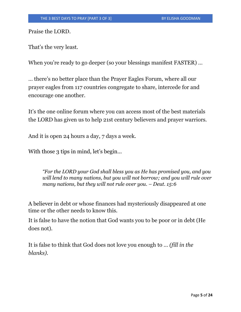Praise the LORD.

That's the very least.

When you're ready to go deeper (so your blessings manifest FASTER) ...

… there's no better place than the Prayer Eagles Forum, where all our prayer eagles from 117 countries congregate to share, intercede for and encourage one another.

It's the one online forum where you can access most of the best materials the LORD has given us to help 21st century believers and prayer warriors.

And it is open 24 hours a day, 7 days a week.

With those 3 tips in mind, let's begin...

*"For the LORD your God shall bless you as He has promised you, and you will lend to many nations, but you will not borrow; and you will rule over many nations, but they will not rule over you. – Deut.* 15:6

A believer in debt or whose finances had mysteriously disappeared at one time or the other needs to know this.

It is false to have the notion that God wants you to be poor or in debt (He does not).

It is false to think that God does not love you enough to … *(fill in the blanks).*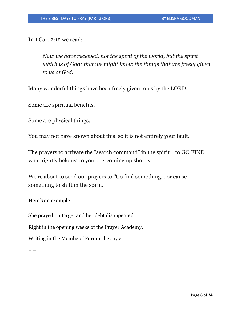In 1 Cor. 2:12 we read:

*Now we have received, not the spirit of the world, but the spirit which is of God; that we might know the things that are freely given to us of God.*

Many wonderful things have been freely given to us by the LORD.

Some are spiritual benefits.

Some are physical things.

You may not have known about this, so it is not entirely your fault.

The prayers to activate the "search command" in the spirit… to GO FIND what rightly belongs to you … is coming up shortly.

We're about to send our prayers to "Go find something… or cause something to shift in the spirit.

Here's an example.

She prayed on target and her debt disappeared.

Right in the opening weeks of the Prayer Academy.

Writing in the Members' Forum she says:

 $=$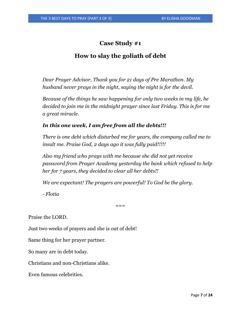# **Case Study #1**

# **How to slay the goliath of debt**

*Dear Prayer Advisor, Thank you for 21 days of Pre Marathon. My husband never prays in the night, saying the night is for the devil.*

*Because of the things he saw happening for only two weeks in my life, he decided to join me in the midnight prayer since last Friday. This is for me a great miracle.*

#### *In this one week, I am free from all the debts!!!*

*There is one debt which disturbed me for years, the company called me to insult me. Praise God, 2 days ago it was fully paid!!!!!*

*Also my friend who prays with me because she did not yet receive password from Prayer Academy yesterday the bank which refused to help her for 7 years, they decided to clear all her debts!!* 

*We are expectant! The prayers are powerful! To God be the glory.* 

*- Flotia* 

 $===$ 

Praise the LORD.

Just two weeks of prayers and she is out of debt!

Same thing for her prayer partner.

So many are in debt today.

Christians and non-Christians alike.

Even famous celebrities.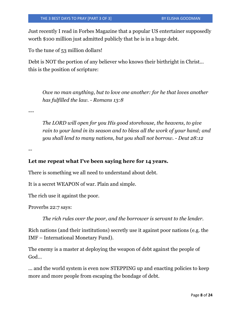Just recently I read in Forbes Magazine that a popular US entertainer supposedly worth \$100 million just admitted publicly that he is in a huge debt.

To the tune of 53 million dollars!

Debt is NOT the portion of any believer who knows their birthright in Christ... this is the position of scripture:

*Owe no man anything, but to love one another: for he that loves another has fulfilled the law. - Romans 13:8*

---

*The LORD will open for you His good storehouse, the heavens, to give*  rain to your land in its season and to bless all the work of your hand; and *you shall lend to many nations, but you shall not borrow. - Deut 28:12*

--

#### **Let me repeat what I've been saying here for 14 years.**

There is something we all need to understand about debt.

It is a secret WEAPON of war. Plain and simple.

The rich use it against the poor.

Proverbs 22:7 says:

*The rich rules over the poor, and the borrower is servant to the lender.* 

Rich nations (and their institutions) secretly use it against poor nations (e.g. the IMF – International Monetary Fund).

The enemy is a master at deploying the weapon of debt against the people of God…

... and the world system is even now STEPPING up and enacting policies to keep more and more people from escaping the bondage of debt.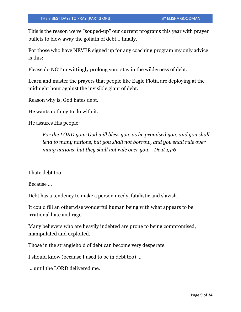This is the reason we've "souped-up" our current programs this year with prayer bullets to blow away the goliath of debt... finally.

For those who have NEVER signed up for any coaching program my only advice is this:

Please do NOT unwittingly prolong your stay in the wilderness of debt.

Learn and master the prayers that people like Eagle Flotia are deploying at the midnight hour against the invisible giant of debt.

Reason why is, God hates debt.

He wants nothing to do with it.

He assures His people:

*For the LORD your God will bless you, as he promised you, and you shall lend to many nations, but you shall not borrow, and you shall rule over many nations, but they shall not rule over you. - Deut 15:6*

 $=$ 

I hate debt too.

Because …

Debt has a tendency to make a person needy, fatalistic and slavish.

It could fill an otherwise wonderful human being with what appears to be irrational hate and rage.

Many believers who are heavily indebted are prone to being compromised, manipulated and exploited.

Those in the stranglehold of debt can become very desperate.

I should know (because I used to be in debt too) ...

... until the LORD delivered me.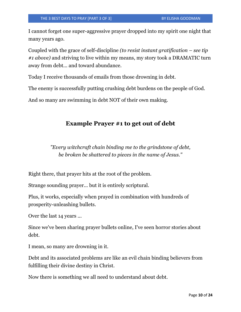I cannot forget one super-aggressive prayer dropped into my spirit one night that many years ago.

Coupled with the grace of self-discipline *(to resist instant gratification – see tip #1 above)* and striving to live within my means, my story took a DRAMATIC turn away from debt... and toward abundance.

Today I receive thousands of emails from those drowning in debt.

The enemy is successfully putting crushing debt burdens on the people of God.

And so many are swimming in debt NOT of their own making.

#### **Example Prayer #1 to get out of debt**

*"Every witchcraft chain binding me to the grindstone of debt, be broken be shattered to pieces in the name of Jesus."*

Right there, that prayer hits at the root of the problem.

Strange sounding prayer... but it is entirely scriptural.

Plus, it works, especially when prayed in combination with hundreds of prosperity-unleashing bullets.

Over the last 14 years ...

Since we've been sharing prayer bullets online, I've seen horror stories about debt.

I mean, so many are drowning in it.

Debt and its associated problems are like an evil chain binding believers from fulfilling their divine destiny in Christ.

Now there is something we all need to understand about debt.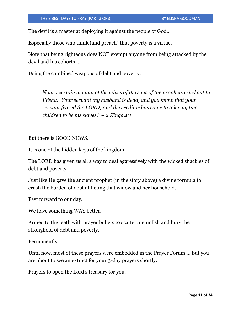The devil is a master at deploying it against the people of God...

Especially those who think (and preach) that poverty is a virtue.

Note that being righteous does NOT exempt anyone from being attacked by the devil and his cohorts ...

Using the combined weapons of debt and poverty.

*Now a certain woman of the wives of the sons of the prophets cried out to Elisha, "Your servant my husband is dead, and you know that your servant feared the LORD; and the creditor has come to take my two children to be his slaves." – 2 Kings 4:1*

But there is GOOD NEWS.

It is one of the hidden keys of the kingdom.

The LORD has given us all a way to deal aggressively with the wicked shackles of debt and poverty.

Just like He gave the ancient prophet (in the story above) a divine formula to crush the burden of debt afflicting that widow and her household.

Fast forward to our day.

We have something WAY better.

Armed to the teeth with prayer bullets to scatter, demolish and bury the stronghold of debt and poverty.

Permanently.

Until now, most of these prayers were embedded in the Prayer Forum ... but you are about to see an extract for your 3-day prayers shortly.

Prayers to open the Lord's treasury for you.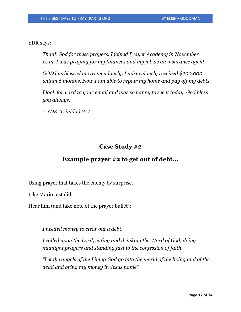YDR says:

*Thank God for these prayers. I joined Prayer Academy in November 2013. I was praying for my finances and my job as an insurance agent.* 

*GOD has blessed me tremendously. I miraculously received \$200,000 within 6 months. Now I am able to repair my home and pay off my debts.* 

*I look forward to your email and was so happy to see it today. God bless you always.* 

*- YDR, Trinidad W.I* 

## **Case Study #2**

#### **Example prayer #2 to get out of debt...**

Using prayer that takes the enemy by surprise.

Like Mario just did.

Hear him (and take note of the prayer bullet):

 $=$   $=$   $=$ 

*I needed money to clear out a debt.*

*I called upon the Lord, eating and drinking the Word of God, doing midnight prayers and standing fast to the confession of faith.*

*"Let the angels of the Living God go into the world of the living and of the dead and bring my money in Jesus name"*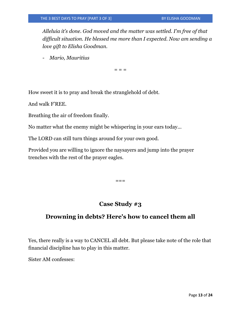*Alleluia it's done. God moved and the matter was settled. I'm free of that difficult situation. He blessed me more than I expected. Now am sending a love gift to Elisha Goodman.* 

- *Mario, Mauritius* 

 $=$   $=$   $=$ 

How sweet it is to pray and break the stranglehold of debt.

And walk F'REE.

Breathing the air of freedom finally.

No matter what the enemy might be whispering in your ears today...

The LORD can still turn things around for your own good.

Provided you are willing to ignore the naysayers and jump into the prayer trenches with the rest of the prayer eagles.

 $=$ 

# **Case Study #3**

## **Drowning in debts? Here's how to cancel them all**

Yes, there really is a way to CANCEL all debt. But please take note of the role that financial discipline has to play in this matter.

Sister AM confesses: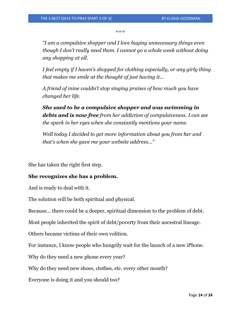$=$  $=$  $=$ 

*"I am a compulsive shopper and I love buying unnecessary things even though I don't really need them. I cannot go a whole week without doing any shopping at all.* 

*I feel empty if I haven's shopped for clothing especially, or any girly thing that makes me smile at the thought of just having it...* 

*A friend of mine couldn't stop singing praises of how much you have changed her life.* 

*She used to be a compulsive shopper and was swimming in debts and is now free from her addiction of compulsiveness. I can see the spark in her eyes when she constantly mentions your name.* 

*Well today I decided to get more information about you from her and that's when she gave me your website address..."*

She has taken the right first step.

#### **She recognizes she has a problem.**

And is ready to deal with it.

The solution will be both spiritual and physical.

Because... there could be a deeper, spiritual dimension to the problem of debt.

Most people inherited the spirit of debt/poverty from their ancestral lineage.

Others became victims of their own volition.

For instance, I know people who hungrily wait for the launch of a new iPhone.

Why do they need a new phone every year?

Why do they need new shoes, clothes, etc. every other month?

Everyone is doing it and you should too?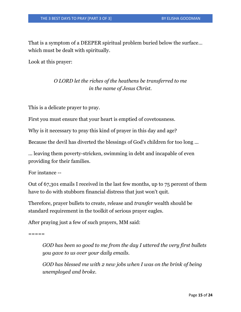That is a symptom of a DEEPER spiritual problem buried below the surface… which must be dealt with spiritually.

Look at this prayer:

# *O LORD let the riches of the heathens be transferred to me in the name of Jesus Christ.*

This is a delicate prayer to pray.

First you must ensure that your heart is emptied of covetousness.

Why is it necessary to pray this kind of prayer in this day and age?

Because the devil has diverted the blessings of God's children for too long ...

... leaving them poverty-stricken, swimming in debt and incapable of even providing for their families.

For instance --

Out of 67,301 emails I received in the last few months, up to 75 percent of them have to do with stubborn financial distress that just won't quit.

Therefore, prayer bullets to create, release and *transfer* wealth should be standard requirement in the toolkit of serious prayer eagles.

After praying just a few of such prayers, MM said:

 $=$   $=$   $=$   $=$ 

*GOD has been so good to me from the day I uttered the very first bullets you gave to us over your daily emails.*

*GOD has blessed me with 2 new jobs when I was on the brink of being unemployed and broke.*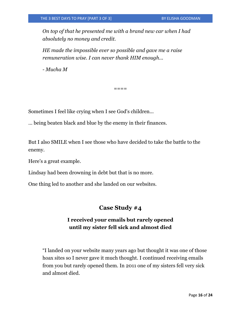*On top of that he presented me with a brand new car when I had absolutely no money and credit.* 

*HE made the impossible ever so possible and gave me a raise remuneration wise. I can never thank HIM enough...* 

*- Mucha M*

 $====$ 

Sometimes I feel like crying when I see God's children...

… being beaten black and blue by the enemy in their finances.

But I also SMILE when I see those who have decided to take the battle to the enemy.

Here's a great example.

Lindsay had been drowning in debt but that is no more.

One thing led to another and she landed on our websites.

#### **Case Study #4**

#### **I received your emails but rarely opened until my sister fell sick and almost died**

"I landed on your website many years ago but thought it was one of those hoax sites so I never gave it much thought. I continued receiving emails from you but rarely opened them. In 2011 one of my sisters fell very sick and almost died.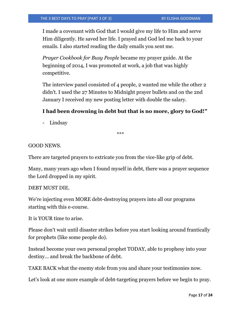I made a covenant with God that I would give my life to Him and serve Him diligently. He saved her life. I prayed and God led me back to your emails. I also started reading the daily emails you sent me.

*Prayer Cookbook for Busy People* became my prayer guide. At the beginning of 2014, I was promoted at work, a job that was highly competitive.

The interview panel consisted of 4 people, 2 wanted me while the other 2 didn't. I used the 27 Minutes to Midnight prayer bullets and on the 2nd January I received my new posting letter with double the salary.

#### **I had been drowning in debt but that is no more, glory to God!"**

- Lindsay

\*\*\*

#### GOOD NEWS.

There are targeted prayers to extricate you from the vice-like grip of debt.

Many, many years ago when I found myself in debt, there was a prayer sequence the Lord dropped in my spirit.

#### DEBT MUST DIE.

We're injecting even MORE debt-destroying prayers into all our programs starting with this e-course.

It is YOUR time to arise.

Please don't wait until disaster strikes before you start looking around frantically for prophets (like some people do).

Instead become your own personal prophet TODAY, able to prophesy into your destiny… and break the backbone of debt.

TAKE BACK what the enemy stole from you and share your testimonies now.

Let's look at one more example of debt-targeting prayers before we begin to pray.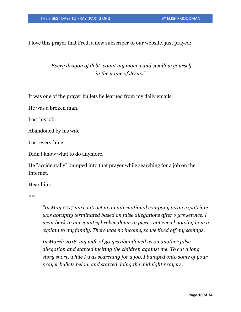I love this prayer that Fred, a new subscriber to our website, just prayed:

## *"Every dragon of debt, vomit my money and swallow yourself in the name of Jesus."*

It was one of the prayer bullets he learned from my daily emails.

He was a broken man.

Lost his job.

Abandoned by his wife.

Lost everything.

Didn't know what to do anymore.

He "accidentally" bumped into that prayer while searching for a job on the Internet.

Hear him:

 $=$ 

*"In May 2017 my contract in an international company as an expatriate was abruptly terminated based on false allegations after 7 yrs service. I went back to my country broken down to pieces not even knowing how to explain to my family. There was no income, so we lived off my savings.* 

*In March 2018, my wife of 30 yrs abandoned us on another false allegation and started inciting the children against me. To cut a long story short, while I was searching for a job, I bumped onto some of your prayer bullets below and started doing the midnight prayers.*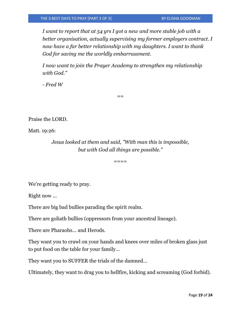*I want to report that at 54 yrs I got a new and more stable job with a better organisation, actually supervising my former employers contract. I now have a far better relationship with my daughters. I want to thank God for saving me the worldly embarrassment.* 

*I now want to join the Prayer Academy to strengthen my relationship with God."*

 $=$ 

*- Fred W*

Praise the LORD.

Matt. 19:26:

*Jesus looked at them and said, "With man this is impossible, but with God all things are possible."*

 $=$  $=$  $=$  $=$ 

We're getting ready to pray.

Right now ...

There are big bad bullies parading the spirit realm.

There are goliath bullies (oppressors from your ancestral lineage).

There are Pharaohs… and Herods.

They want you to crawl on your hands and knees over miles of broken glass just to put food on the table for your family…

They want you to SUFFER the trials of the damned…

Ultimately, they want to drag you to hellfire, kicking and screaming (God forbid).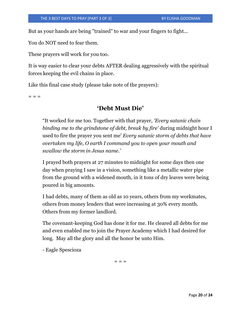But as your hands are being "trained" to war and your fingers to fight...

You do NOT need to fear them.

These prayers will work for you too.

It is way easier to clear your debts AFTER dealing aggressively with the spiritual forces keeping the evil chains in place.

Like this final case study (please take note of the prayers):

 $=$   $=$   $=$ 

#### **'Debt Must Die'**

"It worked for me too. Together with that prayer, *'Every satanic chain binding me to the grindstone of debt, break by fire'* during midnight hour I used to fire the prayer you sent me' *Every satanic storm of debts that have overtaken my life, O earth I command you to open your mouth and swallow the storm in Jesus name.'*

I prayed both prayers at 27 minutes to midnight for some days then one day when praying I saw in a vision, something like a metallic water pipe from the ground with a widened mouth, in it tons of dry leaves were being poured in big amounts.

I had debts, many of them as old as 10 years, others from my workmates, others from money lenders that were increasing at 30% every month. Others from my former landlord.

The covenant-keeping God has done it for me. He cleared all debts for me and even enabled me to join the Prayer Academy which I had desired for long. May all the glory and all the honor be unto Him.

- Eagle Spescioza

 $- - -$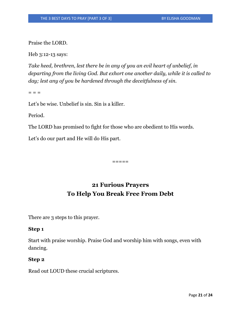Praise the LORD.

Heb 3:12-13 says:

*Take heed, brethren, lest there be in any of you an evil heart of unbelief, in departing from the living God. But exhort one another daily, while it is called to day; lest any of you be hardened through the deceitfulness of sin.*

 $=$   $=$ 

Let's be wise. Unbelief is sin. Sin is a killer.

Period.

The LORD has promised to fight for those who are obedient to His words.

Let's do our part and He will do His part.

 $=$   $=$   $=$   $=$ 

# **21 Furious Prayers To Help You Break Free From Debt**

There are 3 steps to this prayer.

#### **Step 1**

Start with praise worship. Praise God and worship him with songs, even with dancing.

#### **Step 2**

Read out LOUD these crucial scriptures.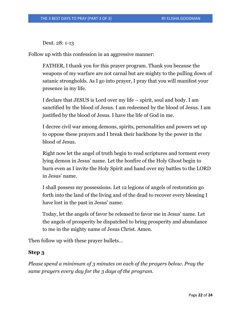Deut. 28: 1-13

Follow up with this confession in an aggressive manner:

FATHER, I thank you for this prayer program. Thank you because the weapons of my warfare are not carnal but are mighty to the pulling down of satanic strongholds. As I go into prayer, I pray that you will manifest your presence in my life.

I declare that JESUS is Lord over my life – spirit, soul and body. I am sanctified by the blood of Jesus. I am redeemed by the blood of Jesus. I am justified by the blood of Jesus. I have the life of God in me.

I decree civil war among demons, spirits, personalities and powers set up to oppose these prayers and I break their backbone by the power in the blood of Jesus.

Right now let the angel of truth begin to read scriptures and torment every lying demon in Jesus' name. Let the bonfire of the Holy Ghost begin to burn even as I invite the Holy Spirit and hand over my battles to the LORD in Jesus' name.

I shall possess my possessions. Let 12 legions of angels of restoration go forth into the land of the living and of the dead to recover every blessing I have lost in the past in Jesus' name.

Today, let the angels of favor be released to favor me in Jesus' name. Let the angels of prosperity be dispatched to bring prosperity and abundance to me in the mighty name of Jesus Christ. Amen.

Then follow up with these prayer bullets…

#### **Step 3**

*Please spend a minimum of 3 minutes on each of the prayers below. Pray the same prayers every day for the 3 days of the program.*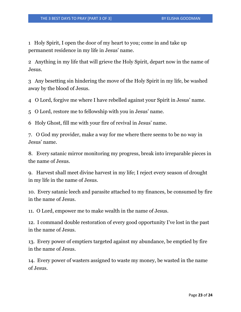1 Holy Spirit, I open the door of my heart to you; come in and take up permanent residence in my life in Jesus' name.

2 Anything in my life that will grieve the Holy Spirit, depart now in the name of Jesus.

3 Any besetting sin hindering the move of the Holy Spirit in my life, be washed away by the blood of Jesus.

4 O Lord, forgive me where I have rebelled against your Spirit in Jesus' name.

5 O Lord, restore me to fellowship with you in Jesus' name.

6 Holy Ghost, fill me with your fire of revival in Jesus' name.

7. O God my provider, make a way for me where there seems to be no way in Jesus' name.

8. Every satanic mirror monitoring my progress, break into irreparable pieces in the name of Jesus.

9. Harvest shall meet divine harvest in my life; I reject every season of drought in my life in the name of Jesus.

10. Every satanic leech and parasite attached to my finances, be consumed by fire in the name of Jesus.

11. O Lord, empower me to make wealth in the name of Jesus.

12. I command double restoration of every good opportunity I've lost in the past in the name of Jesus.

13. Every power of emptiers targeted against my abundance, be emptied by fire in the name of Jesus.

14. Every power of wasters assigned to waste my money, be wasted in the name of Jesus.